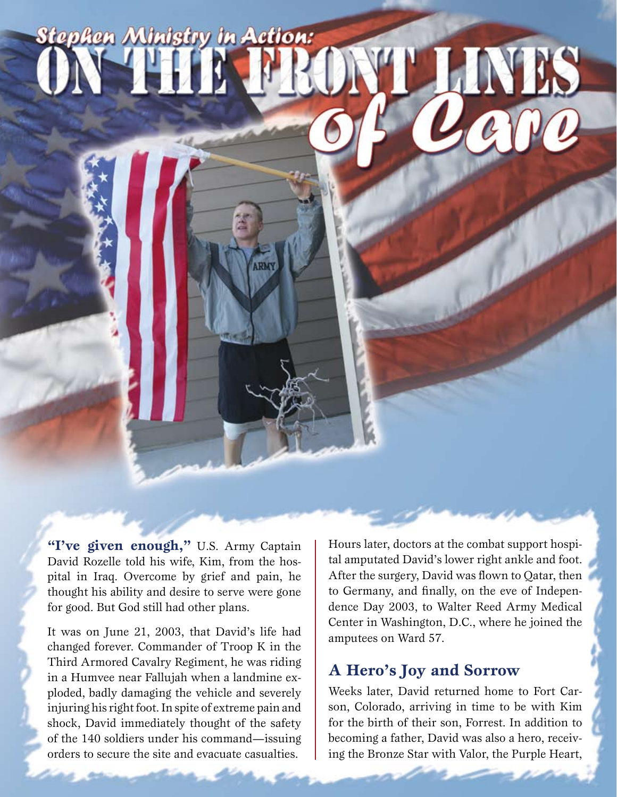# **Stephen Ministry in Action:** ' LINES

"I've given enough," U.S. Army Captain David Rozelle told his wife, Kim, from the hospital in Iraq. Overcome by grief and pain, he thought his ability and desire to serve were gone for good. But God still had other plans.

It was on June 21, 2003, that David's life had changed forever. Commander of Troop K in the Third Armored Cavalry Regiment, he was riding in a Humvee near Fallujah when a landmine exploded, badly damaging the vehicle and severely injuring his right foot. In spite of extreme pain and shock, David immediately thought of the safety of the 140 soldiers under his command—issuing orders to secure the site and evacuate casualties.

Hours later, doctors at the combat support hospital amputated David's lower right ankle and foot. After the surgery, David was flown to Qatar, then to Germany, and finally, on the eve of Independence Day 2003, to Walter Reed Army Medical Center in Washington, D.C., where he joined the amputees on Ward 57.

# **A Hero's Joy and Sorrow**

Weeks later, David returned home to Fort Carson, Colorado, arriving in time to be with Kim for the birth of their son, Forrest. In addition to becoming a father, David was also a hero, receiving the Bronze Star with Valor, the Purple Heart,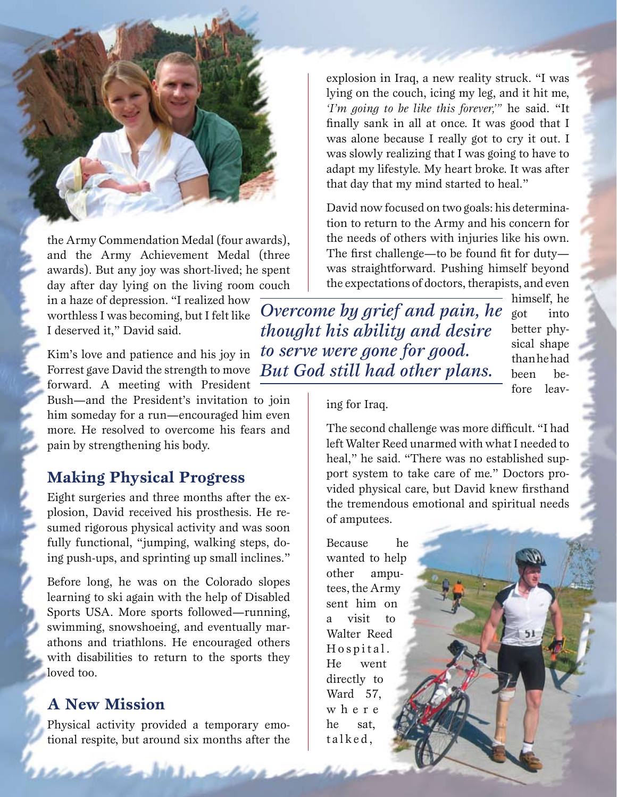the Army Commendation Medal (four awards), and the Army Achievement Medal (three awards). But any joy was short-lived; he spent day after day lying on the living room couch

in a haze of depression. "I realized how worthless I was becoming, but I felt like I deserved it," David said.

Kim's love and patience and his joy in Forrest gave David the strength to move forward. A meeting with President

Bush—and the President's invitation to join him someday for a run—encouraged him even more. He resolved to overcome his fears and pain by strengthening his body.

## **Making Physical Progress**

Eight surgeries and three months after the explosion, David received his prosthesis. He resumed rigorous physical activity and was soon fully functional, "jumping, walking steps, doing push-ups, and sprinting up small inclines."

Before long, he was on the Colorado slopes learning to ski again with the help of Disabled Sports USA. More sports followed—running, swimming, snowshoeing, and eventually marathons and triathlons. He encouraged others with disabilities to return to the sports they loved too.

### **A New Mission**

Physical activity provided a temporary emotional respite, but around six months after the

explosion in Iraq, a new reality struck. "I was lying on the couch, icing my leg, and it hit me, *'I'm going to be like this forever,'"* he said. "It finally sank in all at once. It was good that I was alone because I really got to cry it out. I was slowly realizing that I was going to have to adapt my lifestyle. My heart broke. It was after that day that my mind started to heal."

David now focused on two goals: his determination to return to the Army and his concern for the needs of others with injuries like his own. The first challenge—to be found fit for duty was straightforward. Pushing himself beyond the expectations of doctors, therapists, and even

*Overcome by grief and pain, he thought his ability and desire to serve were gone for good. But God still had other plans.*

himself, he got into better physical shape than he had been before leav-

#### ing for Iraq.

The second challenge was more difficult. "I had left Walter Reed unarmed with what I needed to heal," he said. "There was no established support system to take care of me." Doctors provided physical care, but David knew firsthand the tremendous emotional and spiritual needs of amputees.

Because he wanted to help other amputees, the Army sent him on a visit to Walter Reed Hospital. He went directly to Ward 57, w h e r e he sat, talked,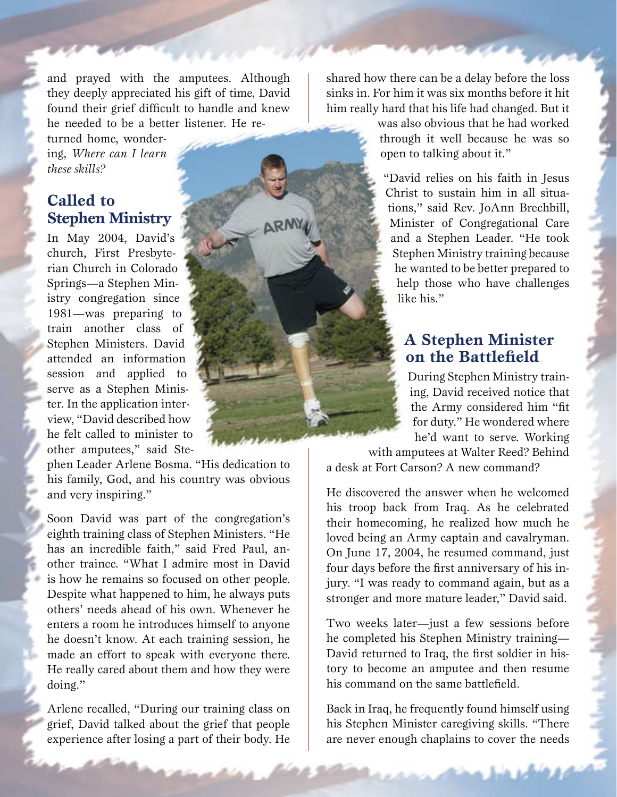and prayed with the amputees. Although they deeply appreciated his gift of time, David found their grief difficult to handle and knew he needed to be a better listener. He re-

turned home, wondering, *Where can I learn these skills?*

# **Called to Stephen Ministry**

In May 2004, David's church, First Presbyterian Church in Colorado Springs—a Stephen Ministry congregation since 1981—was preparing to train another class of Stephen Ministers. David attended an information session and applied to serve as a Stephen Minister. In the application interview, "David described how he felt called to minister to other amputees," said Ste-

phen Leader Arlene Bosma. "His dedication to his family, God, and his country was obvious and very inspiring."

Soon David was part of the congregation's eighth training class of Stephen Ministers. "He has an incredible faith," said Fred Paul, another trainee. "What I admire most in David is how he remains so focused on other people. Despite what happened to him, he always puts others' needs ahead of his own. Whenever he enters a room he introduces himself to anyone he doesn't know. At each training session, he made an effort to speak with everyone there. He really cared about them and how they were doing."

Arlene recalled, "During our training class on grief, David talked about the grief that people experience after losing a part of their body. He

shared how there can be a delay before the loss sinks in. For him it was six months before it hit him really hard that his life had changed. But it

> was also obvious that he had worked through it well because he was so open to talking about it."

"David relies on his faith in Jesus Christ to sustain him in all situations," said Rev. JoAnn Brechbill, Minister of Congregational Care and a Stephen Leader. "He took Stephen Ministry training because he wanted to be better prepared to help those who have challenges like his."

## **A Stephen Minister on the Battlefield**

During Stephen Ministry training, David received notice that the Army considered him "fit for duty." He wondered where he'd want to serve. Working

with amputees at Walter Reed? Behind a desk at Fort Carson? A new command?

He discovered the answer when he welcomed his troop back from Iraq. As he celebrated their homecoming, he realized how much he loved being an Army captain and cavalryman. On June 17, 2004, he resumed command, just four days before the first anniversary of his injury. "I was ready to command again, but as a stronger and more mature leader," David said.

Two weeks later—just a few sessions before he completed his Stephen Ministry training— David returned to Iraq, the first soldier in history to become an amputee and then resume his command on the same battlefield.

Back in Iraq, he frequently found himself using his Stephen Minister caregiving skills. "There are never enough chaplains to cover the needs